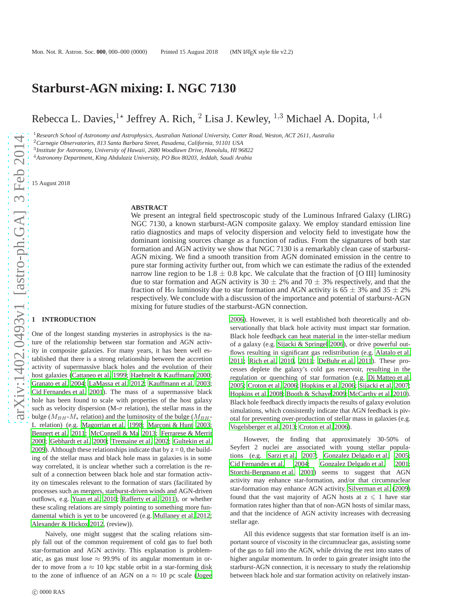# **Starburst-AGN mixing: I. NGC 7130**

Rebecca L. Davies, <sup>1\*</sup> Jeffrey A. Rich, <sup>2</sup> Lisa J. Kewley, <sup>1,3</sup> Michael A. Dopita, <sup>1,4</sup>

<sup>1</sup>*Research School of Astronomy and Astrophysics, Australian National University, Cotter Road, Weston, ACT 2611, Australia*

<sup>2</sup>*Carnegie Observatories, 813 Santa Barbara Street, Pasadena, California, 91101 USA*

3 *Institute for Astronomy, University of Hawaii, 2680 Woodlawn Drive, Honolulu, HI 96822*

<sup>4</sup>*Astronomy Department, King Abdulaziz University, PO Box 80203, Jeddah, Saudi Arabia*

15 August 2018

### **ABSTRACT**

We present an integral field spectroscopic study of the Luminous Infrared Galaxy (LIRG) NGC 7130, a known starburst-AGN composite galaxy. We employ standard emission line ratio diagnostics and maps of velocity dispersion and velocity field to investigate how the dominant ionising sources change as a function of radius. From the signatures of both star formation and AGN activity we show that NGC 7130 is a remarkably clean case of starburst-AGN mixing. We find a smooth transition from AGN dominated emission in the centre to pure star forming activity further out, from which we can estimate the radius of the extended narrow line region to be 1.8  $\pm$  0.8 kpc. We calculate that the fraction of [O III] luminosity due to star formation and AGN activity is 30  $\pm$  2% and 70  $\pm$  3% respectively, and that the fraction of H $\alpha$  luminosity due to star formation and AGN activity is 65  $\pm$  3% and 35  $\pm$  2% respectively. We conclude with a discussion of the importance and potential of starburst-AGN mixing for future studies of the starburst-AGN connection.

## **1 INTRODUCTION**

One of the longest standing mysteries in astrophysics is the nature of the relationship between star formation and AGN activity in composite galaxies. For many years, it has been well established that there is a strong relationship between the accretion activity of supermassive black holes and the evolution of their host galaxies [\(Cattaneo et al. 1999;](#page-10-0) [Haehnelt & Kauffmann 2000;](#page-11-0) [Granato et al. 2004;](#page-11-1) [LaMassa et al. 2012](#page-11-2); [Kauffmann et al. 2003;](#page-11-3) [Cid Fernandes et al. 2001](#page-10-1)). The mass of a supermassive black hole has been found to scale with properties of the host galaxy such as velocity dispersion (M- $\sigma$  relation), the stellar mass in the bulge ( $M_{BH}$ - $M_{\star}$  relation) and the luminosity of the bulge ( $M_{BH}$ -L relation) (e.g. [Magorrian et al. 1998;](#page-11-4) [Marconi & Hunt 2003;](#page-11-5) [Bennert et al. 2011;](#page-10-2) [McConnell & Ma 2013](#page-11-6); [Ferrarese & Merrit](#page-11-7) [2000;](#page-11-7) [Gebhardt et al. 2000](#page-11-8); [Tremaine et al. 2002](#page-11-9); [Gultekin et](#page-11-10) al. [2009\)](#page-11-10). Although these relationships indicate that by  $z = 0$ , the building of the stellar mass and black hole mass in galaxies is in some way correlated, it is unclear whether such a correlation is the result of a connection between black hole and star formation activity on timescales relevant to the formation of stars (facilitated by processes such as mergers, starburst-driven winds and AGN-driven outflows, e.g. [Yuan et al. 2010](#page-11-11); [Rafferty et al. 2011](#page-11-12)), or whether these scaling relations are simply pointing to something more fundamental which is yet to be uncovered (e.g. [Mullaney et al. 2012;](#page-11-13) [Alexander & Hickox 2012](#page-10-3), (review)).

Naively, one might suggest that the scaling relations simply fall out of the common requirement of cold gas to fuel both star-formation and AGN activity. This explanation is problematic, as gas must lose  $\approx$  99.9% of its angular momentum in order to move from a  $\approx 10$  kpc stable orbit in a star-forming disk to the zone of influence of an AGN on a  $\approx$  10 pc scale [\(Jogee](#page-11-14)

[2006](#page-11-14)). However, it is well established both theoretically and observationally that black hole activity must impact star formation. Black hole feedback can heat material in the inter-stellar medium of a galaxy (e.g. [Sijacki & Springel 2006](#page-11-15)), or drive powerful outflows resulting in significant gas redistribution (e.g. [Alatalo et al.](#page-10-4) [2011](#page-10-4); [Rich et al. 2010,](#page-11-16) [2011;](#page-11-17) [DeBuhr et al. 2011\)](#page-11-18). These processes deplete the galaxy's cold gas reservoir, resulting in the regulation or quenching of star formation (e.g. [Di Matteo et](#page-11-19) al. [2005](#page-11-19); [Croton et al. 2006](#page-11-20); [Hopkins et al. 2006;](#page-11-21) [Sijacki et al. 2007;](#page-11-22) [Hopkins et al. 2008](#page-11-23); [Booth & Schaye 2009;](#page-10-5) [McCarthy et al. 2010](#page-11-24)). Black hole feedback directly impacts the results of galaxy evolution simulations, which consistently indicate that AGN feedback is pivotal for preventing over-production of stellar mass in galaxies (e.g. [Vogelsberger et al. 2013;](#page-11-25) [Croton et al. 2006](#page-11-20)).

However, the finding that approximately 30-50% of Seyfert 2 nuclei are associated with young stellar populations (e.g. [Sarzi et al. 2007;](#page-11-26) [Gonzalez Delgado et al. 2005;](#page-11-27) [Cid Fernandes et al. 2004](#page-11-28); [Gonzalez Delgado et al. 2001;](#page-11-29) [Storchi-Bergmann et al. 2001](#page-11-30)) seems to suggest that AGN activity may enhance star-formation, and/or that circumnuclear star-formation may enhance AGN activity. [Silverman et al. \(2009](#page-11-31)) found that the vast majority of AGN hosts at  $z \leq 1$  have star formation rates higher than that of non-AGN hosts of similar mass, and that the incidence of AGN activity increases with decreasing stellar age.

All this evidence suggests that star formation itself is an important source of viscosity in the circumnuclear gas, assisting some of the gas to fall into the AGN, while driving the rest into states of higher angular momentum. In order to gain greater insight into the starburst-AGN connection, it is necessary to study the relationship between black hole and star formation activity on relatively instan-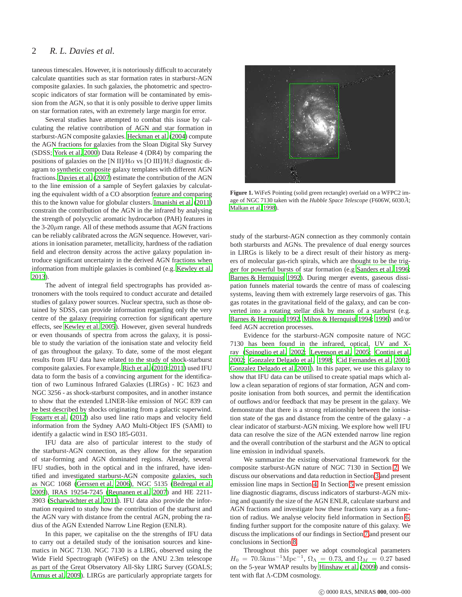taneous timescales. However, it is notoriously difficult to accurately calculate quantities such as star formation rates in starburst-AGN composite galaxies. In such galaxies, the photometric and spectroscopic indicators of star formation will be contaminated by emission from the AGN, so that it is only possible to derive upper limits on star formation rates, with an extremely large margin for error.

Several studies have attempted to combat this issue by calculating the relative contribution of AGN and star formation in starburst-AGN composite galaxies. [Heckman et al.](#page-11-32) [\(2004](#page-11-32)) compute the AGN fractions for galaxies from the Sloan Digital Sky Survey (SDSS; [York et al. 2000](#page-11-33)) Data Release 4 (DR4) by comparing the positions of galaxies on the [N II]/H $\alpha$  vs [O III]/H $\beta$  diagnostic diagram to synthetic composite galaxy templates with different AGN fractions. [Davies et al. \(2007\)](#page-11-34) estimate the contribution of the AGN to the line emission of a sample of Seyfert galaxies by calculating the equivalent width of a CO absorption feature and comparing this to the known value for globular clusters. [Imanishi et al. \(2011](#page-11-35)) constrain the contribution of the AGN in the infrared by analysing the strength of polycyclic aromatic hydrocarbon (PAH) features in the  $3-20\mu$ m range. All of these methods assume that AGN fractions can be reliably calibrated across the AGN sequence. However, variations in ionisation parameter, metallicity, hardness of the radiation field and electron density across the active galaxy population introduce significant uncertainty in the derived AGN fractions when information from multiple galaxies is combined (e.g. [Kewley et al.](#page-11-36) [2013](#page-11-36)).

The advent of integral field spectrographs has provided astronomers with the tools required to conduct accurate and detailed studies of galaxy power sources. Nuclear spectra, such as those obtained by SDSS, can provide information regarding only the very centre of the galaxy (requiring correction for significant aperture effects, see [Kewley et al. 2005](#page-11-37)). However, given several hundreds or even thousands of spectra from across the galaxy, it is possible to study the variation of the ionisation state and velocity field of gas throughout the galaxy. To date, some of the most elegant results from IFU data have related to the study of shock-starburst composite galaxies. For example, [Rich et al. \(2010;](#page-11-16) [2011\)](#page-11-17) used IFU data to form the basis of a convincing argument for the identification of two Luminous Infrared Galaxies (LIRGs) - IC 1623 and NGC 3256 - as shock-starburst composites, and in another instance to show that the extended LINER-like emission of NGC 839 can be best described by shocks originating from a galactic superwind. [Fogarty et al. \(2012\)](#page-11-38) also used line ratio maps and velocity field information from the Sydney AAO Multi-Object IFS (SAMI) to identify a galactic wind in ESO 185-G031.

IFU data are also of particular interest to the study of the starburst-AGN connection, as they allow for the separation of star-forming and AGN dominated regions. Already, several IFU studies, both in the optical and in the infrared, have identified and investigated starburst-AGN composite galaxies, such as NGC 1068 [\(Gerssen et al. 2006](#page-11-39)), NGC 5135 [\(Bedregal et al.](#page-10-6) [2009](#page-10-6)), IRAS 19254-7245 [\(Reunanen et al. 2007\)](#page-11-40) and HE 2211- 3903 (Scharwächter et al. 2011). IFU data also provide the information required to study how the contribution of the starburst and the AGN vary with distance from the central AGN, probing the radius of the AGN Extended Narrow Line Region (ENLR).

In this paper, we capitalise on the the strengths of IFU data to carry out a detailed study of the ionisation sources and kinematics in NGC 7130. NGC 7130 is a LIRG, observed using the Wide Field Spectrograph (WiFeS) on the ANU 2.3m telescope as part of the Great Observatory All-Sky LIRG Survey (GOALS; [Armus et al. 2009](#page-10-7)). LIRGs are particularly appropriate targets for



**Figure 1.** WiFeS Pointing (solid green rectangle) overlaid on a WFPC2 image of NGC 7130 taken with the *Hubble Space Telescope* (F606W, 6030A˚ ; [Malkan et al. 1998\)](#page-11-42).

<span id="page-1-0"></span>study of the starburst-AGN connection as they commonly contain both starbursts and AGNs. The prevalence of dual energy sources in LIRGs is likely to be a direct result of their history as mergers of molecular gas-rich spirals, which are thought to be the trigger for powerful bursts of star formation (e.g [Sanders et al.](#page-11-43) [1996;](#page-11-43) [Barnes & Hernquist 1992](#page-10-8)). During merger events, gaseous dissipation funnels material towards the centre of mass of coalescing systems, leaving them with extremely large reservoirs of gas. This gas rotates in the gravitational field of the galaxy, and can be converted into a rotating stellar disk by means of a starburst (e.g. [Barnes & Hernquist 1992](#page-10-8), [Mihos & Hernquist 1994](#page-11-44); [1996\)](#page-11-45) and/or feed AGN accretion processes.

Evidence for the starburst-AGN composite nature of NGC 7130 has been found in the infrared, optical, UV and Xray [\(Spinoglio et al. 2002](#page-11-46); [Levenson et al. 2005](#page-11-47); [Contini et al.](#page-11-48) [2002](#page-11-48); [Gonzalez Delgado et al. 1998](#page-11-49); [Cid Fernandes et al. 2001;](#page-10-1) [Gonzalez Delgado et al. 2001](#page-11-29)). In this paper, we use this galaxy to show that IFU data can be utilised to create spatial maps which allow a clean separation of regions of star formation, AGN and composite ionisation from both sources, and permit the identification of outflows and/or feedback that may be present in the galaxy. We demonstrate that there is a strong relationship between the ionisation state of the gas and distance from the centre of the galaxy - a clear indicator of starburst-AGN mixing. We explore how well IFU data can resolve the size of the AGN extended narrow line region and the overall contribution of the starburst and the AGN to optical line emission in individual spaxels.

We summarize the existing observational framework for the composite starburst-AGN nature of NGC 7130 in Section [2.](#page-2-0) We discuss our observations and data reduction in Section [3](#page-2-1) and present emission line maps in Section [4.](#page-3-0) In Section [5](#page-4-0) we present emission line diagnostic diagrams, discuss indicators of starburst-AGN mixing and quantify the size of the AGN ENLR, calculate starburst and AGN fractions and investigate how these fractions vary as a function of radius. We analyse velocity field information in Section [6,](#page-8-0) finding further support for the composite nature of this galaxy. We discuss the implications of our findings in Section [7](#page-8-1) and present our conclusions in Section [8.](#page-10-9)

Throughout this paper we adopt cosmological parameters  $H_0 = 70.5 \text{km} \text{s}^{-1} \text{Mpc}^{-1}$ ,  $\Omega_{\Lambda} = 0.73$ , and  $\Omega_M = 0.27$  based on the 5-year WMAP results by [Hinshaw et al. \(2009\)](#page-11-50) and consistent with flat Λ-CDM cosmology.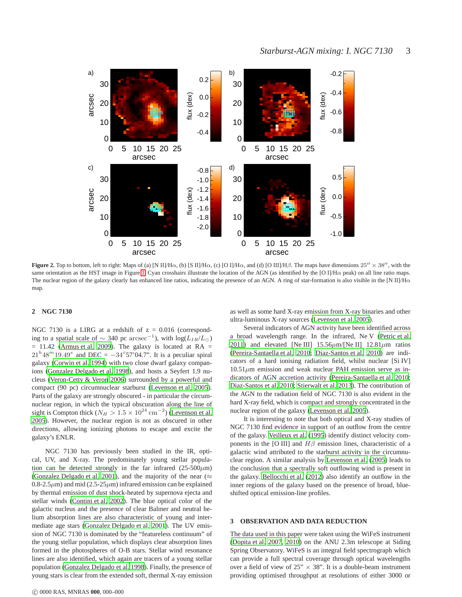

<span id="page-2-2"></span>**Figure 2.** Top to bottom, left to right: Maps of (a) [N II]/H $\alpha$ , (b) [S II]/H $\alpha$ , (c) [O I]/H $\alpha$ , and (d) [O III]/H $\beta$ . The maps have dimensions  $25'' \times 38''$ , with the same orientation as the HST image in Figure [1.](#page-1-0) Cyan crosshairs illustrate the location of the AGN (as identified by the [O I]/Hα peak) on all line ratio maps. The nuclear region of the galaxy clearly has enhanced line ratios, indicating the presence of an AGN. A ring of star-formation is also visible in the [N II]/H $\alpha$ map.

### <span id="page-2-0"></span>**2 NGC 7130**

NGC 7130 is a LIRG at a redshift of  $z = 0.016$  (corresponding to a spatial scale of  $\sim$  340 pc  $\arccos\mathrm{e}^{-1}$ ), with  $\log(L_{IR}/L_{\odot})$  $= 11.42$  [\(Armus et al. 2009](#page-10-7)). The galaxy is located at RA  $=$  $21^h 48^m 19.49^s$  and DEC =  $-34°57'04.7$ ". It is a peculiar spiral galaxy [\(Corwin et al. 1994](#page-11-51)) with two close dwarf galaxy companions [\(Gonzalez Delgado et al. 1998\)](#page-11-49), and hosts a Seyfert 1.9 nucleus [\(Veron-Cetty & Veron 2006](#page-11-52)) surrounded by a powerful and compact (90 pc) circumnuclear starburst [\(Levenson et al. 2005\)](#page-11-47). Parts of the galaxy are strongly obscured - in particular the circumnuclear region, in which the typical obscuration along the line of sight is Compton thick ( $N_H > 1.5 \times 10^{24}$  cm<sup>-2</sup>) [\(Levenson et al.](#page-11-47) [2005\)](#page-11-47). However, the nuclear region is not as obscured in other directions, allowing ionizing photons to escape and excite the galaxy's ENLR.

NGC 7130 has previously been studied in the IR, optical, UV, and X-ray. The predominately young stellar population can be detected strongly in the far infrared  $(25-500 \mu m)$ [\(Gonzalez Delgado et al. 2001\)](#page-11-29), and the majority of the near ( $\approx$ 0.8-2.5 $\mu$ m) and mid (2.5-25 $\mu$ m) infrared emission can be explained by thermal emission of dust shock-heated by supernova ejecta and stellar winds [\(Contini et al. 2002\)](#page-11-48). The blue optical color of the galactic nucleus and the presence of clear Balmer and neutral helium absorption lines are also characteristic of young and intermediate age stars [\(Gonzalez Delgado et al. 2001](#page-11-29)). The UV emission of NGC 7130 is dominated by the "featureless continuum" of the young stellar population, which displays clear absorption lines formed in the photospheres of O-B stars. Stellar wind resonance lines are also identified, which again are tracers of a young stellar population [\(Gonzalez Delgado et al. 1998](#page-11-49)). Finally, the presence of young stars is clear from the extended soft, thermal X-ray emission

c 0000 RAS, MNRAS **000**, 000–000

as well as some hard X-ray emission from X-ray binaries and other ultra-luminous X-ray sources [\(Levenson et al. 2005\)](#page-11-47).

Several indicators of AGN activity have been identified across a broad wavelength range. In the infrared, Ne V [\(Petric et al.](#page-11-53) [2011](#page-11-53)) and elevated [Ne III]  $15.56 \mu$ m/[Ne II]  $12.81 \mu$ m ratios [\(Pereira-Santaella et al. 2010](#page-11-54); [Diaz-Santos et al. 2010](#page-11-55)) are indicators of a hard ionising radiation field, whilst nuclear [Si IV]  $10.51\mu$ m emission and weak nuclear PAH emission serve as indicators of AGN accretion activity [\(Pereira-Santaella et al. 2010;](#page-11-54) [Diaz-Santos et al. 2010](#page-11-55); [Stierwalt et al. 2013](#page-11-56)). The contribution of the AGN to the radiation field of NGC 7130 is also evident in the hard X-ray field, which is compact and strongly concentrated in the nuclear region of the galaxy [\(Levenson et al. 2005](#page-11-47)).

It is interesting to note that both optical and X-ray studies of NGC 7130 find evidence in support of an outflow from the centre of the galaxy. [Veilleux et al.](#page-11-57) [\(1995](#page-11-57)) identify distinct velocity components in the [O III] and  $H\beta$  emission lines, characteristic of a galactic wind attributed to the starburst activity in the circumnuclear region. A similar analysis by [Levenson et al.](#page-11-47) [\(2005](#page-11-47)) leads to the conclusion that a spectrally soft outflowing wind is present in the galaxy. [Bellocchi et al. \(2012](#page-10-10)) also identify an outflow in the inner regions of the galaxy based on the presence of broad, blueshifted optical emission-line profiles.

### <span id="page-2-1"></span>**3 OBSERVATION AND DATA REDUCTION**

The data used in this paper were taken using the WiFeS instrument [\(Dopita et al. 2007](#page-11-58), [2010\)](#page-11-59) on the ANU 2.3m telescope at Siding Spring Observatory. WiFeS is an integral field spectrograph which can provide a full spectral coverage through optical wavelengths over a field of view of  $25" \times 38"$ . It is a double-beam instrument providing optimised throughput at resolutions of either 3000 or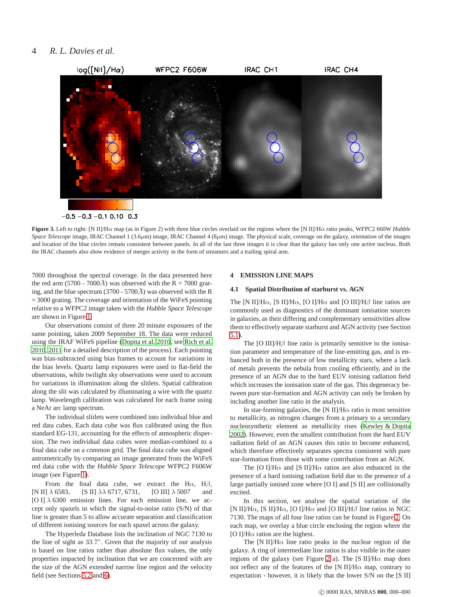

<span id="page-3-1"></span>**Figure 3.** Left to right: [N II]/Hα map (as in Figure 2) with three blue circles overlaid on the regions where the [N II]/Hα ratio peaks, WFPC2 660W *Hubble Space Telescope* image, IRAC Channel 1 (3.6 $\mu$ m) image, IRAC Channel 4 (8 $\mu$ m) image. The physical scale, coverage on the galaxy, orientation of the images and location of the blue circles remain consistent between panels. In all of the last three images it is clear than the galaxy has only one active nucleus. Both the IRAC channels also show evidence of merger activity in the form of streamers and a trailing spiral arm.

7000 throughout the spectral coverage. In the data presented here the red arm (5700 - 7000 $\AA$ ) was observed with the R = 7000 grating, and the blue spectrum (3700 - 5700 $\AA$ ) was observed with the R = 3000 grating. The coverage and orientation of the WiFeS pointing relative to a WFPC2 image taken with the *Hubble Space Telescope* are shown in Figure [1.](#page-1-0)

Our observations consist of three 20 minute exposures of the same pointing, taken 2009 September 18. The data were reduced using the IRAF WiFeS pipeline [\(Dopita et al. 2010](#page-11-59), see [Rich et](#page-11-16) al. [2010](#page-11-16), [2011](#page-11-17) for a detailed description of the process). Each pointing was bias-subtracted using bias frames to account for variations in the bias levels. Quartz lamp exposures were used to flat-field the observations, while twilight sky observations were used to account for variations in illumination along the slitlets. Spatial calibration along the slit was calculated by illuminating a wire with the quartz lamp. Wavelength calibration was calculated for each frame using a NeAr arc lamp spectrum.

The individual slitlets were combined into individual blue and red data cubes. Each data cube was flux calibrated using the flux standard EG-131, accounting for the effects of atmospheric dispersion. The two individual data cubes were median-combined to a final data cube on a common grid. The final data cube was aligned astrometrically by comparing an image generated from the WiFeS red data cube with the *Hubble Space Telescope* WFPC2 F606W image (see Figure [1\)](#page-1-0).

From the final data cube, we extract the H $\alpha$ , H $\beta$ , [N II]  $\lambda$  6583, [S II]  $\lambda\lambda$  6717, 6731, [O III]  $\lambda$  5007 and [O I]  $\lambda$  6300 emission lines. For each emission line, we accept only spaxels in which the signal-to-noise ratio (S/N) of that line is greater than 5 to allow accurate separation and classification of different ionising sources for each spaxel across the galaxy.

The Hyperleda Database lists the inclination of NGC 7130 to the line of sight as 33.7°. Given that the majority of our analysis is based on line ratios rather than absolute flux values, the only properties impacted by inclination that we are concerned with are the size of the AGN extended narrow line region and the velocity field (see Sections [5.2](#page-5-0) and [6\)](#page-8-0).

### <span id="page-3-2"></span><span id="page-3-0"></span>**4 EMISSION LINE MAPS**

#### **4.1 Spatial Distribution of starburst vs. AGN**

The [N II]/H $\alpha$ , [S II]/H $\alpha$ , [O I]/H $\alpha$  and [O III]/H $\beta$  line ratios are commonly used as diagnostics of the dominant ionisation sources in galaxies, as their differing and complementary sensitivities allow them to effectively separate starburst and AGN activity (see Section [5.1\)](#page-4-1).

The [O III]/H $\beta$  line ratio is primarily sensitive to the ionisation parameter and temperature of the line-emitting gas, and is enhanced both in the presence of low metallicity stars, where a lack of metals prevents the nebula from cooling efficiently, and in the presence of an AGN due to the hard EUV ionising radiation field which increases the ionisation state of the gas. This degeneracy between pure star-formation and AGN activity can only be broken by including another line ratio in the analysis.

In star-forming galaxies, the [N II]/H $\alpha$  ratio is most sensitive to metallicity, as nitrogen changes from a primary to a secondary nucleosynthetic element as metallicity rises [\(Kewley & Dopita](#page-11-60) [2002](#page-11-60)). However, even the smallest contribution from the hard EUV radiation field of an AGN causes this ratio to become enhanced, which therefore effectively separates spectra consistent with pure star-formation from those with some contribution from an AGN.

The [O I]/H $\alpha$  and [S II]/H $\alpha$  ratios are also enhanced in the presence of a hard ionising radiation field due to the presence of a large partially ionised zone where [O I] and [S II] are collisionally excited.

In this section, we analyse the spatial variation of the [N II]/H $\alpha$ , [S II]/H $\alpha$ , [O I]/H $\alpha$  and [O III]/H $\beta$  line ratios in NGC 7130. The maps of all four line ratios can be found in Figure [2.](#page-2-2) On each map, we overlay a blue circle enclosing the region where the [O I]/H $\alpha$  ratios are the highest.

The [N II]/H $\alpha$  line ratio peaks in the nuclear region of the galaxy. A ring of intermediate line ratios is also visible in the outer regions of the galaxy (see Figure [2](#page-2-2) a). The [S II]/H $\alpha$  map does not reflect any of the features of the [N II]/H $\alpha$  map, contrary to expectation - however, it is likely that the lower S/N on the [S II]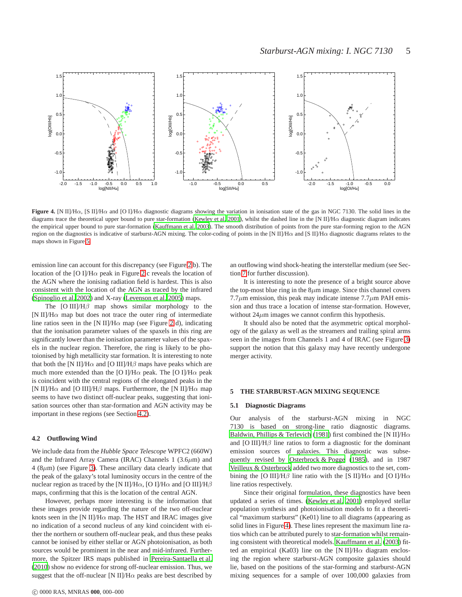

<span id="page-4-3"></span>**Figure 4.** [N II]/H $\alpha$ , [S II]/H $\alpha$  and [O I]/H $\alpha$  diagnostic diagrams showing the variation in ionisation state of the gas in NGC 7130. The solid lines in the diagrams trace the theoretical upper bound to pure star-formation [\(Kewley et al. 2001\)](#page-11-61), whilst the dashed line in the [N II]/H $\alpha$  diagnostic diagram indicates the empirical upper bound to pure star-formation [\(Kauffmann et al. 2003](#page-11-3)). The smooth distribution of points from the pure star-forming region to the AGN region on the diagnostics is indicative of starburst-AGN mixing. The color-coding of points in the [N II]/H $\alpha$  and [S II]/H $\alpha$  diagnostic diagrams relates to the maps shown in Figure [5.](#page-5-1)

emission line can account for this discrepancy (see Figure [2](#page-2-2) b). The location of the [O I]/H $\alpha$  peak in Figure [2](#page-2-2) c reveals the location of the AGN where the ionising radiation field is hardest. This is also consistent with the location of the AGN as traced by the infrared [\(Spinoglio et al. 2002\)](#page-11-46) and X-ray [\(Levenson et al. 2005\)](#page-11-47) maps.

The  $[O III]/H\beta$  map shows similar morphology to the [N II]/H $\alpha$  map but does not trace the outer ring of intermediate line ratios seen in the [N II]/H $\alpha$  map (see Figure [2](#page-2-2) d), indicating that the ionisation parameter values of the spaxels in this ring are significantly lower than the ionisation parameter values of the spaxels in the nuclear region. Therefore, the ring is likely to be photoionised by high metallicity star formation. It is interesting to note that both the [N II]/H $\alpha$  and [O III]/H $\beta$  maps have peaks which are much more extended than the [O I]/H $\alpha$  peak. The [O I]/H $\alpha$  peak is coincident with the central regions of the elongated peaks in the [N II]/H $\alpha$  and [O III]/H $\beta$  maps. Furthermore, the [N II]/H $\alpha$  map seems to have two distinct off-nuclear peaks, suggesting that ionisation sources other than star-formation and AGN activity may be important in these regions (see Section [4.2\)](#page-4-2).

#### <span id="page-4-2"></span>**4.2 Outflowing Wind**

We include data from the *Hubble Space Telescope* WPFC2 (660W) and the Infrared Array Camera (IRAC) Channels  $1$  (3.6 $\mu$ m) and  $4 (8 \mu m)$  (see Figure [3\)](#page-3-1). These ancillary data clearly indicate that the peak of the galaxy's total luminosity occurs in the centre of the nuclear region as traced by the [N II]/H $\alpha$ , [O I]/H $\alpha$  and [O III]/H $\beta$ maps, confirming that this is the location of the central AGN.

However, perhaps more interesting is the information that these images provide regarding the nature of the two off-nuclear knots seen in the [N II]/H $\alpha$  map. The HST and IRAC images give no indication of a second nucleus of any kind coincident with either the northern or southern off-nuclear peak, and thus these peaks cannot be ionised by either stellar or AGN photoionisation, as both sources would be prominent in the near and mid-infrared. Furthermore, the Spitzer IRS maps published in [Pereira-Santaella et al.](#page-11-54) [\(2010\)](#page-11-54) show no evidence for strong off-nuclear emission. Thus, we suggest that the off-nuclear [N II]/H $\alpha$  peaks are best described by an outflowing wind shock-heating the interstellar medium (see Section [7](#page-8-1) for further discussion).

It is interesting to note the presence of a bright source above the top-most blue ring in the  $8\mu$ m image. Since this channel covers  $7.7\mu$ m emission, this peak may indicate intense  $7.7\mu$ m PAH emission and thus trace a location of intense star-formation. However, without  $24\mu$ m images we cannot confirm this hypothesis.

It should also be noted that the asymmetric optical morphology of the galaxy as well as the streamers and trailing spiral arms seen in the images from Channels 1 and 4 of IRAC (see Figure [3\)](#page-3-1) support the notion that this galaxy may have recently undergone merger activity.

#### <span id="page-4-1"></span><span id="page-4-0"></span>**5 THE STARBURST-AGN MIXING SEQUENCE**

#### **5.1 Diagnostic Diagrams**

Our analysis of the starburst-AGN mixing in NGC 7130 is based on strong-line ratio diagnostic diagrams. [Baldwin, Phillips & Terlevich \(1981\)](#page-10-11) first combined the [N II]/H $\alpha$ and [O III]/H $\beta$  line ratios to form a diagnostic for the dominant emission sources of galaxies. This diagnostic was subsequently revised by [Osterbrock & Pogge \(1985](#page-11-62)), and in 1987 [Veilleux & Osterbrock](#page-11-63) added two more diagnostics to the set, combining the [O III]/H $\beta$  line ratio with the [S II]/H $\alpha$  and [O I]/H $\alpha$ line ratios respectively.

Since their original formulation, these diagnostics have been updated a series of times. [\(Kewley et al. 2001\)](#page-11-61) employed stellar population synthesis and photoionisation models to fit a theoretical "maximum starburst" (Ke01) line to all diagrams (appearing as solid lines in Figure [4\)](#page-4-3). These lines represent the maximum line ratios which can be attributed purely to star-formation whilst remaining consistent with theoretical models. [Kauffmann et al.](#page-11-3) [\(2003](#page-11-3)) fitted an empirical (Ka03) line on the [N II]/H $\alpha$  diagram enclosing the region where starburst-AGN composite galaxies should lie, based on the positions of the star-forming and starburst-AGN mixing sequences for a sample of over 100,000 galaxies from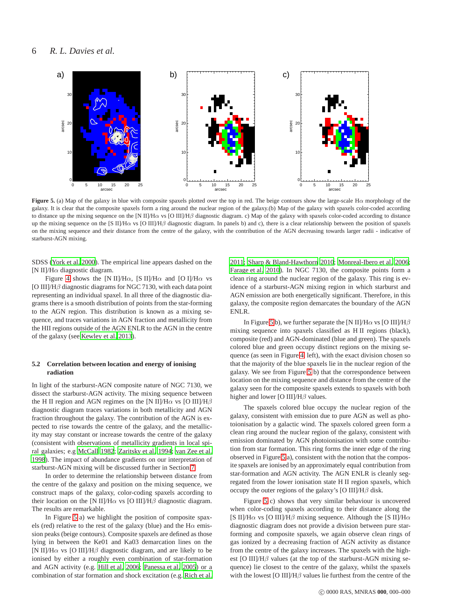

<span id="page-5-1"></span>**Figure 5.** (a) Map of the galaxy in blue with composite spaxels plotted over the top in red. The beige contours show the large-scale  $H\alpha$  morphology of the galaxy. It is clear that the composite spaxels form a ring around the nuclear region of the galaxy.(b) Map of the galaxy with spaxels color-coded according to distance up the mixing sequence on the [N II]/Hα vs [O III]/Hβ diagnostic diagram. c) Map of the galaxy with spaxels color-coded according to distance up the mixing sequence on the [S II]/H $\alpha$  vs [O III]/H $\beta$  diagnostic diagram. In panels b) and c), there is a clear relationship between the position of spaxels on the mixing sequence and their distance from the centre of the galaxy, with the contribution of the AGN decreasing towards larger radii - indicative of starburst-AGN mixing.

SDSS [\(York et al. 2000](#page-11-33)). The empirical line appears dashed on the [N II]/Hα diagnostic diagram.

Figure [4](#page-4-3) shows the [N II]/H $\alpha$ , [S II]/H $\alpha$  and [O I]/H $\alpha$  vs [O III]/ $H\beta$  diagnostic diagrams for NGC 7130, with each data point representing an individual spaxel. In all three of the diagnostic diagrams there is a smooth distribution of points from the star-forming to the AGN region. This distribution is known as a mixing sequence, and traces variations in AGN fraction and metallicity from the HII regions outside of the AGN ENLR to the AGN in the centre of the galaxy (see [Kewley et al. 2013\)](#page-11-36).

### <span id="page-5-0"></span>**5.2 Correlation between location and energy of ionising radiation**

In light of the starburst-AGN composite nature of NGC 7130, we dissect the starburst-AGN activity. The mixing sequence between the H II region and AGN regimes on the [N II]/H $\alpha$  vs [O III]/H $\beta$ diagnostic diagram traces variations in both metallicity and AGN fraction throughout the galaxy. The contribution of the AGN is expected to rise towards the centre of the galaxy, and the metallicity may stay constant or increase towards the centre of the galaxy (consistent with observations of metallicity gradients in local spiral galaxies; e.g [McCall 1982](#page-11-64); [Zaritsky et al. 1994](#page-11-65); [van Zee et al.](#page-11-66) [1998\)](#page-11-66). The impact of abundance gradients on our interpretation of starburst-AGN mixing will be discussed further in Section [7.](#page-8-1)

In order to determine the relationship between distance from the centre of the galaxy and position on the mixing sequence, we construct maps of the galaxy, color-coding spaxels according to their location on the [N II]/H $\alpha$  vs [O III]/H $\beta$  diagnostic diagram. The results are remarkable.

In Figure [5](#page-5-1) a) we highlight the position of composite spaxels (red) relative to the rest of the galaxy (blue) and the  $H\alpha$  emission peaks (beige contours). Composite spaxels are defined as those lying in between the Ke01 and Ka03 demarcation lines on the [N II]/H $\alpha$  vs [O III]/H $\beta$  diagnostic diagram, and are likely to be ionised by either a roughly even combination of star-formation and AGN activity (e.g. [Hill et al. 2006](#page-11-67); [Panessa et al. 2005](#page-11-68)) or a combination of star formation and shock excitation (e.g. [Rich et al.](#page-11-17)

[2011](#page-11-17); [Sharp & Bland-Hawthorn 2010;](#page-11-69) [Monreal-Ibero et al. 2006;](#page-11-70) [Farage et al. 2010\)](#page-11-71). In NGC 7130, the composite points form a clean ring around the nuclear region of the galaxy. This ring is evidence of a starburst-AGN mixing region in which starburst and AGN emission are both energetically significant. Therefore, in this galaxy, the composite region demarcates the boundary of the AGN ENLR.

In Figure [5](#page-5-1) b), we further separate the [N II]/H $\alpha$  vs [O III]/H $\beta$ mixing sequence into spaxels classified as H II regions (black), composite (red) and AGN-dominated (blue and green). The spaxels colored blue and green occupy distinct regions on the mixing sequence (as seen in Figure [4,](#page-4-3) left), with the exact division chosen so that the majority of the blue spaxels lie in the nuclear region of the galaxy. We see from Figure [5](#page-5-1) b) that the correspondence between location on the mixing sequence and distance from the centre of the galaxy seen for the composite spaxels extends to spaxels with both higher and lower [O III]/H $\beta$  values.

The spaxels colored blue occupy the nuclear region of the galaxy, consistent with emission due to pure AGN as well as photoionisation by a galactic wind. The spaxels colored green form a clean ring around the nuclear region of the galaxy, consistent with emission dominated by AGN photoionisation with some contribution from star formation. This ring forms the inner edge of the ring observed in Figure [5](#page-5-1) a), consistent with the notion that the composite spaxels are ionised by an approximately equal contribution from star-formation and AGN activity. The AGN ENLR is cleanly segregated from the lower ionisation state H II region spaxels, which occupy the outer regions of the galaxy's [O III]/ $H\beta$  disk.

Figure [5](#page-5-1) c) shows that very similar behaviour is uncovered when color-coding spaxels according to their distance along the [S II]/H $\alpha$  vs [O III]/H $\beta$  mixing sequence. Although the [S II]/H $\alpha$ diagnostic diagram does not provide a division between pure starforming and composite spaxels, we again observe clean rings of gas ionized by a decreasing fraction of AGN activity as distance from the centre of the galaxy increases. The spaxels with the highest [O III]/ $H\beta$  values (at the top of the starburst-AGN mixing sequence) lie closest to the centre of the galaxy, whilst the spaxels with the lowest [O III]/ $H\beta$  values lie furthest from the centre of the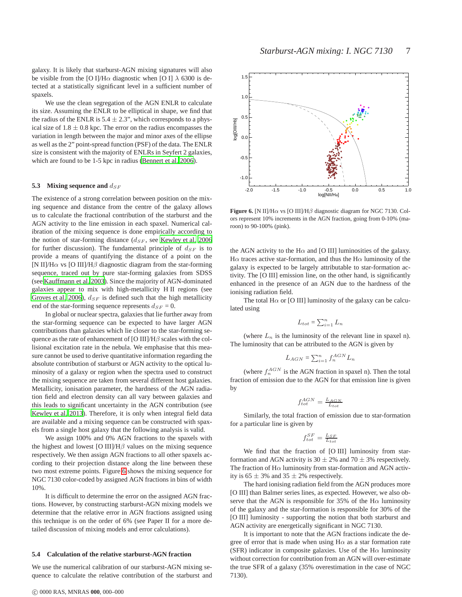galaxy. It is likely that starburst-AGN mixing signatures will also be visible from the [O I]/H $\alpha$  diagnostic when [O I]  $\lambda$  6300 is detected at a statistically significant level in a sufficient number of spaxels.

We use the clean segregation of the AGN ENLR to calculate its size. Assuming the ENLR to be elliptical in shape, we find that the radius of the ENLR is  $5.4 \pm 2.3$ ", which corresponds to a physical size of  $1.8 \pm 0.8$  kpc. The error on the radius encompasses the variation in length between the major and minor axes of the ellipse as well as the 2" point-spread function (PSF) of the data. The ENLR size is consistent with the majority of ENLRs in Seyfert 2 galaxies, which are found to be 1-5 kpc in radius [\(Bennert et al. 2006](#page-10-12)).

#### **5.3** Mixing sequence and  $d_{SF}$

The existence of a strong correlation between position on the mixing sequence and distance from the centre of the galaxy allows us to calculate the fractional contribution of the starburst and the AGN activity to the line emission in each spaxel. Numerical calibration of the mixing sequence is done empirically according to the notion of star-forming distance  $(d_{SF})$ , see [Kewley et al. 2006](#page-11-72) for further discussion). The fundamental principle of  $d_{SF}$  is to provide a means of quantifying the distance of a point on the [N II]/H $\alpha$  vs [O III]/H $\beta$  diagnostic diagram from the star-forming sequence, traced out by pure star-forming galaxies from SDSS (see [Kauffmann et al. 2003](#page-11-3)). Since the majority of AGN-dominated galaxies appear to mix with high-metallicity H II regions (see [Groves et al. 2006](#page-11-73)),  $d_{SF}$  is defined such that the high metallicity end of the star-forming sequence represents  $d_{SF} = 0$ .

In global or nuclear spectra, galaxies that lie further away from the star-forming sequence can be expected to have larger AGN contributions than galaxies which lie closer to the star-forming sequence as the rate of enhancement of [O III]/ $H\beta$  scales with the collisional excitation rate in the nebula. We emphasise that this measure cannot be used to derive quantitative information regarding the absolute contribution of starburst or AGN activity to the optical luminosity of a galaxy or region when the spectra used to construct the mixing sequence are taken from several different host galaxies. Metallicity, ionisation parameter, the hardness of the AGN radiation field and electron density can all vary between galaxies and this leads to significant uncertainty in the AGN contribution (see [Kewley et al. 2013](#page-11-36)). Therefore, it is only when integral field data are available and a mixing sequence can be constructed with spaxels from a single host galaxy that the following analysis is valid.

We assign 100% and 0% AGN fractions to the spaxels with the highest and lowest [O III]/ $H\beta$  values on the mixing sequence respectively. We then assign AGN fractions to all other spaxels according to their projection distance along the line between these two most extreme points. Figure [6](#page-6-0) shows the mixing sequence for NGC 7130 color-coded by assigned AGN fractions in bins of width 10%.

It is difficult to determine the error on the assigned AGN fractions. However, by constructing starburst-AGN mixing models we determine that the relative error in AGN fractions assigned using this technique is on the order of 6% (see Paper II for a more detailed discussion of mixing models and error calculations).

#### **5.4 Calculation of the relative starburst-AGN fraction**

We use the numerical calibration of our starburst-AGN mixing sequence to calculate the relative contribution of the starburst and

![](_page_6_Figure_11.jpeg)

<span id="page-6-0"></span>**Figure 6.** [N II]/H $\alpha$  vs [O III]/H $\beta$  diagnostic diagram for NGC 7130. Colors represent 10% increments in the AGN fraction, going from 0-10% (maroon) to 90-100% (pink).

the AGN activity to the H $\alpha$  and [O III] luminosities of the galaxy. H $\alpha$  traces active star-formation, and thus the H $\alpha$  luminosity of the galaxy is expected to be largely attributable to star-formation activity. The [O III] emission line, on the other hand, is significantly enhanced in the presence of an AGN due to the hardness of the ionising radiation field.

The total H $\alpha$  or [O III] luminosity of the galaxy can be calculated using

$$
L_{tot} = \sum_{i=1}^{n} L_n
$$

(where  $L_n$  is the luminosity of the relevant line in spaxel n). The luminosity that can be attributed to the AGN is given by

$$
L_{AGN} = \sum_{i=1}^{n} f_n^{AGN} L_n
$$

(where  $f_n^{AGN}$  is the AGN fraction in spaxel n). Then the total fraction of emission due to the AGN for that emission line is given by

$$
f_{tot}^{AGN} = \frac{L_{AGN}}{L_{tot}}
$$

Similarly, the total fraction of emission due to star-formation for a particular line is given by

$$
f_{tot}^{SF} = \frac{L_{SF}}{L_{tot}}
$$

We find that the fraction of [O III] luminosity from starformation and AGN activity is 30  $\pm$  2% and 70  $\pm$  3% respectively. The fraction of  $H\alpha$  luminosity from star-formation and AGN activity is  $65 \pm 3\%$  and  $35 \pm 2\%$  respectively.

The hard ionising radiation field from the AGN produces more [O III] than Balmer series lines, as expected. However, we also observe that the AGN is responsible for 35% of the H $\alpha$  luminosity of the galaxy and the star-formation is responsible for 30% of the [O III] luminosity - supporting the notion that both starburst and AGN activity are energetically significant in NGC 7130.

It is important to note that the AGN fractions indicate the degree of error that is made when using  $H\alpha$  as a star formation rate (SFR) indicator in composite galaxies. Use of the H $\alpha$  luminosity without correction for contribution from an AGN will over-estimate the true SFR of a galaxy (35% overestimation in the case of NGC 7130).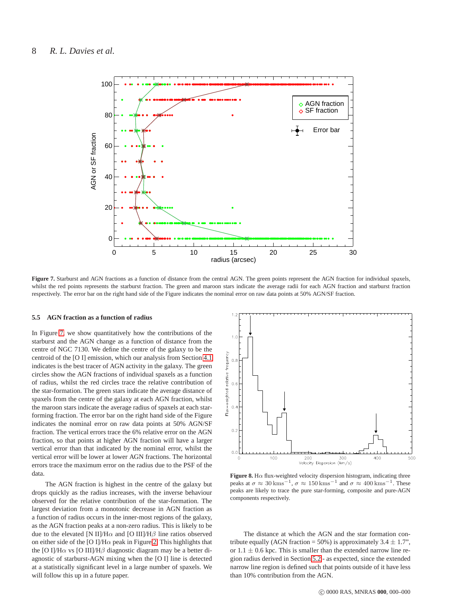![](_page_7_Figure_1.jpeg)

<span id="page-7-0"></span>**Figure 7.** Starburst and AGN fractions as a function of distance from the central AGN. The green points represent the AGN fraction for individual spaxels, whilst the red points represents the starburst fraction. The green and maroon stars indicate the average radii for each AGN fraction and starburst fraction respectively. The error bar on the right hand side of the Figure indicates the nominal error on raw data points at 50% AGN/SF fraction.

#### **5.5 AGN fraction as a function of radius**

In Figure [7,](#page-7-0) we show quantitatively how the contributions of the starburst and the AGN change as a function of distance from the centre of NGC 7130. We define the centre of the galaxy to be the centroid of the [O I] emission, which our analysis from Section [4.1](#page-3-2) indicates is the best tracer of AGN activity in the galaxy. The green circles show the AGN fractions of individual spaxels as a function of radius, whilst the red circles trace the relative contribution of the star-formation. The green stars indicate the average distance of spaxels from the centre of the galaxy at each AGN fraction, whilst the maroon stars indicate the average radius of spaxels at each starforming fraction. The error bar on the right hand side of the Figure indicates the nominal error on raw data points at 50% AGN/SF fraction. The vertical errors trace the 6% relative error on the AGN fraction, so that points at higher AGN fraction will have a larger vertical error than that indicated by the nominal error, whilst the vertical error will be lower at lower AGN fractions. The horizontal errors trace the maximum error on the radius due to the PSF of the data.

The AGN fraction is highest in the centre of the galaxy but drops quickly as the radius increases, with the inverse behaviour observed for the relative contribution of the star-formation. The largest deviation from a monotonic decrease in AGN fraction as a function of radius occurs in the inner-most regions of the galaxy, as the AGN fraction peaks at a non-zero radius. This is likely to be due to the elevated [N II]/H $\alpha$  and [O III]/H $\beta$  line ratios observed on either side of the [O I]/H $\alpha$  peak in Figure [2.](#page-2-2) This highlights that the [O I]/H $\alpha$  vs [O III]/H $\beta$  diagnostic diagram may be a better diagnostic of starburst-AGN mixing when the [O I] line is detected at a statistically significant level in a large number of spaxels. We will follow this up in a future paper.

![](_page_7_Figure_6.jpeg)

<span id="page-7-1"></span>**Figure 8.** H $\alpha$  flux-weighted velocity dispersion histogram, indicating three peaks at  $\sigma \approx 30 \,\mathrm{km s^{-1}}$ ,  $\sigma \approx 150 \,\mathrm{km s^{-1}}$  and  $\sigma \approx 400 \,\mathrm{km s^{-1}}$ . These peaks are likely to trace the pure star-forming, composite and pure-AGN components respectively.

The distance at which the AGN and the star formation contribute equally (AGN fraction = 50%) is approximately  $3.4 \pm 1.7$ ", or  $1.1 \pm 0.6$  kpc. This is smaller than the extended narrow line region radius derived in Section [5.2](#page-5-0) - as expected, since the extended narrow line region is defined such that points outside of it have less than 10% contribution from the AGN.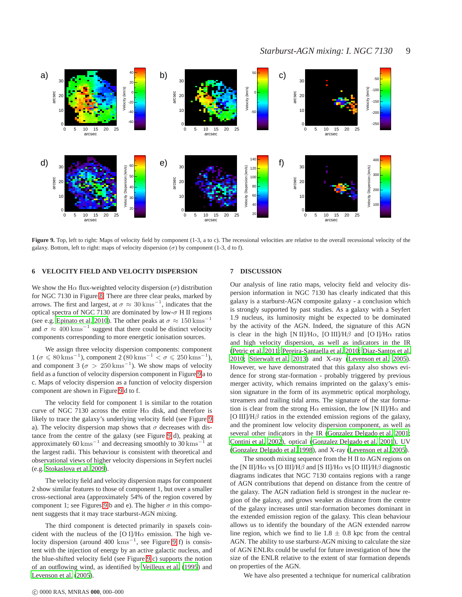![](_page_8_Figure_1.jpeg)

<span id="page-8-2"></span>Figure 9. Top, left to right: Maps of velocity field by component (1-3, a to c). The recessional velocities are relative to the overall recessional velocity of the galaxy. Bottom, left to right: maps of velocity dispersion  $(\sigma)$  by component (1-3, d to f).

### <span id="page-8-0"></span>**6 VELOCITY FIELD AND VELOCITY DISPERSION**

We show the H $\alpha$  flux-weighted velocity dispersion ( $\sigma$ ) distribution for NGC 7130 in Figure [8.](#page-7-1) There are three clear peaks, marked by arrows. The first and largest, at  $\sigma \approx 30 \text{ km s}^{-1}$ , indicates that the optical spectra of NGC 7130 are dominated by low- $\sigma$  H II regions (see e.g. [Epinato et al. 2010\)](#page-11-74). The other peaks at  $\sigma \approx 150 \,\mathrm{km s}^{-1}$ and  $\sigma \approx 400 \text{ km s}^{-1}$  suggest that there could be distinct velocity components corresponding to more energetic ionisation sources.

We assign three velocity dispersion components: component  $1 \ (\sigma \leqslant 80 \,\mathrm{km s^{-1}})$ , component  $2 \ (80 \,\mathrm{km s^{-1}} < \sigma \leqslant 250 \,\mathrm{km s^{-1}})$ , and component 3 ( $\sigma > 250 \,\mathrm{km s}^{-1}$ ). We show maps of velocity field as a function of velocity dispersion component in Figure [9](#page-8-2) a to c. Maps of velocity dispersion as a function of velocity dispersion component are shown in Figure [9](#page-8-2) d to f.

The velocity field for component 1 is similar to the rotation curve of NGC 7130 across the entire H $\alpha$  disk, and therefore is likely to trace the galaxy's underlying velocity field (see Figure [9](#page-8-2) a). The velocity dispersion map shows that  $\sigma$  decreases with distance from the centre of the galaxy (see Figure [9](#page-8-2) d), peaking at approximately 60 kms<sup> $-1$ </sup> and decreasing smoothly to 30 kms<sup> $-1$ </sup> at the largest radii. This behaviour is consistent with theoretical and observational views of higher velocity dispersions in Seyfert nuclei (e.g. [Stokaslova et al. 2009](#page-11-75)).

The velocity field and velocity dispersion maps for component 2 show similar features to those of component 1, but over a smaller cross-sectional area (approximately 54% of the region covered by component 1; see Figures [9](#page-8-2) b and e). The higher  $\sigma$  in this component suggests that it may trace starburst-AGN mixing.

The third component is detected primarily in spaxels coincident with the nucleus of the [O I]/H $\alpha$  emission. The high ve-locity dispersion (around 400 kms<sup>-1</sup>, see Figure [9](#page-8-2) f) is consistent with the injection of energy by an active galactic nucleus, and the blue-shifted velocity field (see Figure [9](#page-8-2) c) supports the notion of an outflowing wind, as identified by [Veilleux et al. \(1995](#page-11-57)) and [Levenson et al.](#page-11-47) [\(2005](#page-11-47)).

### <span id="page-8-1"></span>**7 DISCUSSION**

Our analysis of line ratio maps, velocity field and velocity dispersion information in NGC 7130 has clearly indicated that this galaxy is a starburst-AGN composite galaxy - a conclusion which is strongly supported by past studies. As a galaxy with a Seyfert 1.9 nucleus, its luminosity might be expected to be dominated by the activity of the AGN. Indeed, the signature of this AGN is clear in the high [N II]/H $\alpha$ , [O III]/H $\beta$  and [O I]/H $\alpha$  ratios and high velocity dispersion, as well as indicators in the IR [\(Petric et al. 2011](#page-11-53); [Pereira-Santaella et al. 2010;](#page-11-54) [Diaz-Santos et al.](#page-11-55) [2010](#page-11-55); [Stierwalt et al. 2013\)](#page-11-56) and X-ray [\(Levenson et al. 2005](#page-11-47)). However, we have demonstrated that this galaxy also shows evidence for strong star-formation - probably triggered by previous merger activity, which remains imprinted on the galaxy's emission signature in the form of its asymmetric optical morphology, streamers and trailing tidal arms. The signature of the star formation is clear from the strong H $\alpha$  emission, the low [N II]/H $\alpha$  and [O III]/ $H\beta$  ratios in the extended emission regions of the galaxy, and the prominent low velocity dispersion component, as well as several other indicators in the IR [\(Gonzalez Delgado et al. 2001;](#page-11-29) [Contini et al. 2002](#page-11-48)), optical [\(Gonzalez Delgado et al. 2001](#page-11-29)), UV [\(Gonzalez Delgado et al. 1998](#page-11-49)), and X-ray [\(Levenson et al. 2005](#page-11-47)).

The smooth mixing sequence from the H II to AGN regions on the [N II]/H $\alpha$  vs [O III]/H $\beta$  and [S II]/H $\alpha$  vs [O III]/H $\beta$  diagnostic diagrams indicates that NGC 7130 contains regions with a range of AGN contributions that depend on distance from the centre of the galaxy. The AGN radiation field is strongest in the nuclear region of the galaxy, and grows weaker as distance from the centre of the galaxy increases until star-formation becomes dominant in the extended emission region of the galaxy. This clean behaviour allows us to identify the boundary of the AGN extended narrow line region, which we find to lie  $1.8 \pm 0.8$  kpc from the central AGN. The ability to use starburst-AGN mixing to calculate the size of AGN ENLRs could be useful for future investigation of how the size of the ENLR relative to the extent of star formation depends on properties of the AGN.

We have also presented a technique for numerical calibration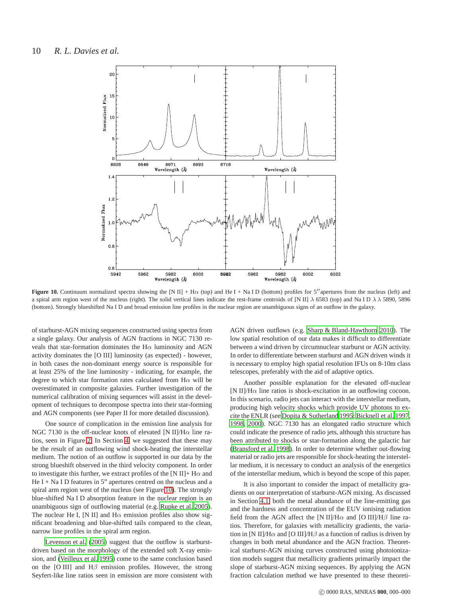![](_page_9_Figure_1.jpeg)

<span id="page-9-0"></span>**Figure 10.** Continuum normalized spectra showing the [N II] + H $\alpha$  (top) and He I + Na I D (bottom) profiles for 5<sup>*''*</sup> apertures from the nucleus (left) and a spiral arm region west of the nucleus (right). The solid vertical lines indicate the rest-frame centroids of [N II]  $\lambda$  6583 (top) and Na I D  $\lambda \lambda$  5890, 5896 (bottom). Strongly blueshifted Na I D and broad emission line profiles in the nuclear region are unambiguous signs of an outflow in the galaxy.

of starburst-AGN mixing sequences constructed using spectra from a single galaxy. Our analysis of AGN fractions in NGC 7130 reveals that star-formation dominates the  $H\alpha$  luminosity and AGN activity dominates the [O III] luminosity (as expected) - however, in both cases the non-dominant energy source is responsible for at least 25% of the line luminosity - indicating, for example, the degree to which star formation rates calculated from H $\alpha$  will be overestimated in composite galaxies. Further investigation of the numerical calibration of mixing sequences will assist in the development of techniques to decompose spectra into their star-forming and AGN components (see Paper II for more detailed discussion).

One source of complication in the emission line analysis for NGC 7130 is the off-nuclear knots of elevated [N II]/H $\alpha$  line ratios, seen in Figure [2.](#page-2-2) In Section [4,](#page-3-0) we suggested that these may be the result of an outflowing wind shock-heating the interstellar medium. The notion of an outflow is supported in our data by the strong blueshift observed in the third velocity component. In order to investigate this further, we extract profiles of the [N II]+  $H\alpha$  and He  $I + Na I D$  features in 5" apertures centred on the nucleus and a spiral arm region west of the nucleus (see Figure [10\)](#page-9-0). The strongly blue-shifted Na I D absorption feature in the nuclear region is an unambiguous sign of outflowing material (e.g. [Rupke et al. 2005\)](#page-11-76). The nuclear He I, [N II] and  $H\alpha$  emission profiles also show significant broadening and blue-shifted tails compared to the clean, narrow line profiles in the spiral arm region.

[Levenson et al. \(2005\)](#page-11-47) suggest that the outflow is starburstdriven based on the morphology of the extended soft X-ray emission, and [\(Veilleux et al. 1995](#page-11-57)) come to the same conclusion based on the [O III] and  $H\beta$  emission profiles. However, the strong Seyfert-like line ratios seen in emission are more consistent with AGN driven outflows (e.g. [Sharp & Bland-Hawthorn 2010](#page-11-69)). The low spatial resolution of our data makes it difficult to differentiate between a wind driven by circumnuclear starburst or AGN activity. In order to differentiate between starburst and AGN driven winds it is necessary to employ high spatial resolution IFUs on 8-10m class telescopes, preferably with the aid of adaptive optics.

Another possible explanation for the elevated off-nuclear [N II]/H $\alpha$  line ratios is shock-excitation in an outflowing cocoon. In this scenario, radio jets can interact with the interstellar medium, producing high velocity shocks which provide UV photons to excite the ENLR (see [Dopita & Sutherland 1995](#page-11-77); [Bicknell et al. 1997](#page-10-13), [1998](#page-10-14), [2000\)](#page-10-15). NGC 7130 has an elongated radio structure which could indicate the presence of radio jets, although this structure has been attributed to shocks or star-formation along the galactic bar [\(Bransford et al. 1998](#page-10-16)). In order to determine whether out-flowing material or radio jets are responsible for shock-heating the interstellar medium, it is necessary to conduct an analysis of the energetics of the interstellar medium, which is beyond the scope of this paper.

It is also important to consider the impact of metallicity gradients on our interpretation of starburst-AGN mixing. As discussed in Section [4.1,](#page-3-2) both the metal abundance of the line-emitting gas and the hardness and concentration of the EUV ionising radiation field from the AGN affect the [N II]/H $\alpha$  and [O III]/H $\beta$  line ratios. Therefore, for galaxies with metallicity gradients, the variation in [N II]/H $\alpha$  and [O III]/H $\beta$  as a function of radius is driven by changes in both metal abundance and the AGN fraction. Theoretical starburst-AGN mixing curves constructed using photoionization models suggest that metallicity gradients primarily impact the slope of starburst-AGN mixing sequences. By applying the AGN fraction calculation method we have presented to these theoreti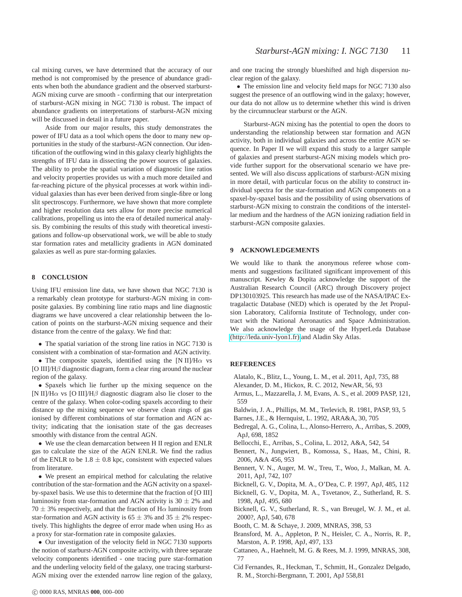cal mixing curves, we have determined that the accuracy of our method is not compromised by the presence of abundance gradients when both the abundance gradient and the observed starburst-AGN mixing curve are smooth - confirming that our interpretation of starburst-AGN mixing in NGC 7130 is robust. The impact of abundance gradients on interpretations of starburst-AGN mixing will be discussed in detail in a future paper.

Aside from our major results, this study demonstrates the power of IFU data as a tool which opens the door to many new opportunities in the study of the starburst-AGN connection. Our identification of the outflowing wind in this galaxy clearly highlights the strengths of IFU data in dissecting the power sources of galaxies. The ability to probe the spatial variation of diagnostic line ratios and velocity properties provides us with a much more detailed and far-reaching picture of the physical processes at work within individual galaxies than has ever been derived from single-fibre or long slit spectroscopy. Furthermore, we have shown that more complete and higher resolution data sets allow for more precise numerical calibrations, propelling us into the era of detailed numerical analysis. By combining the results of this study with theoretical investigations and follow-up observational work, we will be able to study star formation rates and metallicity gradients in AGN dominated galaxies as well as pure star-forming galaxies.

### <span id="page-10-9"></span>**8 CONCLUSION**

Using IFU emission line data, we have shown that NGC 7130 is a remarkably clean prototype for starburst-AGN mixing in composite galaxies. By combining line ratio maps and line diagnostic diagrams we have uncovered a clear relationship between the location of points on the starburst-AGN mixing sequence and their distance from the centre of the galaxy. We find that:

• The spatial variation of the strong line ratios in NGC 7130 is consistent with a combination of star-formation and AGN activity.

• The composite spaxels, identified using the [N II]/H $\alpha$  vs [O III]/H $\beta$  diagnostic diagram, form a clear ring around the nuclear region of the galaxy.

• Spaxels which lie further up the mixing sequence on the [N II]/H $\alpha$  vs [O III]/H $\beta$  diagnostic diagram also lie closer to the centre of the galaxy. When color-coding spaxels according to their distance up the mixing sequence we observe clean rings of gas ionised by different combinations of star formation and AGN activity; indicating that the ionisation state of the gas decreases smoothly with distance from the central AGN.

• We use the clean demarcation between H II region and ENLR gas to calculate the size of the AGN ENLR. We find the radius of the ENLR to be  $1.8 \pm 0.8$  kpc, consistent with expected values from literature.

• We present an empirical method for calculating the relative contribution of the star-formation and the AGN activity on a spaxelby-spaxel basis. We use this to determine that the fraction of [O III] luminosity from star-formation and AGN activity is  $30 \pm 2\%$  and  $70 \pm 3$ % respectively, and that the fraction of H $\alpha$  luminosity from star-formation and AGN activity is  $65 \pm 3\%$  and  $35 \pm 2\%$  respectively. This highlights the degree of error made when using  $H\alpha$  as a proxy for star-formation rate in composite galaxies.

• Our investigation of the velocity field in NGC 7130 supports the notion of starburst-AGN composite activity, with three separate velocity components identified - one tracing pure star-formation and the underling velocity field of the galaxy, one tracing starburst-AGN mixing over the extended narrow line region of the galaxy, and one tracing the strongly blueshifted and high dispersion nuclear region of the galaxy.

• The emission line and velocity field maps for NGC 7130 also suggest the presence of an outflowing wind in the galaxy; however, our data do not allow us to determine whether this wind is driven by the circumnuclear starburst or the AGN.

Starburst-AGN mixing has the potential to open the doors to understanding the relationship between star formation and AGN activity, both in individual galaxies and across the entire AGN sequence. In Paper II we will expand this study to a larger sample of galaxies and present starburst-AGN mixing models which provide further support for the observational scenario we have presented. We will also discuss applications of starburst-AGN mixing in more detail, with particular focus on the ability to construct individual spectra for the star-formation and AGN components on a spaxel-by-spaxel basis and the possibility of using observations of starburst-AGN mixing to constrain the conditions of the interstellar medium and the hardness of the AGN ionizing radiation field in starburst-AGN composite galaxies.

### **9 ACKNOWLEDGEMENTS**

We would like to thank the anonymous referee whose comments and suggestions facilitated significant improvement of this manuscript. Kewley & Dopita acknowledge the support of the Australian Research Council (ARC) through Discovery project DP130103925. This research has made use of the NASA/IPAC Extragalactic Database (NED) which is operated by the Jet Propulsion Laboratory, California Institute of Technology, under contract with the National Aeronautics and Space Administration. We also acknowledge the usage of the HyperLeda Database [\(http://leda.univ-lyon1.fr\)](http://leda.univ-lyon1.fr) and Aladin Sky Atlas.

### **REFERENCES**

- <span id="page-10-4"></span>Alatalo, K., Blitz, L., Young, L. M., et al. 2011, ApJ, 735, 88
- <span id="page-10-3"></span>Alexander, D. M., Hickox, R. C. 2012, NewAR, 56, 93
- <span id="page-10-7"></span>Armus, L., Mazzarella, J. M, Evans, A. S., et al. 2009 PASP, 121, 559
- <span id="page-10-11"></span>Baldwin, J. A., Phillips, M. M., Terlevich, R. 1981, PASP, 93, 5
- <span id="page-10-8"></span>Barnes, J.E., & Hernquist, L. 1992, ARA&A, 30, 705
- <span id="page-10-6"></span>Bedregal, A. G., Colina, L., Alonso-Herrero, A., Arribas, S. 2009, ApJ, 698, 1852
- <span id="page-10-10"></span>Bellocchi, E., Arribas, S., Colina, L. 2012, A&A, 542, 54
- <span id="page-10-12"></span>Bennert, N., Jungwiert, B., Komossa, S., Haas, M., Chini, R. 2006, A&A 456, 953
- <span id="page-10-2"></span>Bennert, V. N., Auger, M. W., Treu, T., Woo, J., Malkan, M. A. 2011, ApJ, 742, 107
- <span id="page-10-13"></span>Bicknell, G. V., Dopita, M. A., O'Dea, C. P. 1997, ApJ, 485, 112
- <span id="page-10-14"></span>Bicknell, G. V., Dopita, M. A., Tsvetanov, Z., Sutherland, R. S. 1998, ApJ, 495, 680
- <span id="page-10-15"></span>Bicknell, G. V., Sutherland, R. S., van Breugel, W. J. M., et al. 2000?, ApJ, 540, 678
- <span id="page-10-5"></span>Booth, C. M. & Schaye, J. 2009, MNRAS, 398, 53
- <span id="page-10-16"></span>Bransford, M. A., Appleton, P. N., Heisler, C. A., Norris, R. P., Marston, A. P. 1998, ApJ, 497, 133
- <span id="page-10-0"></span>Cattaneo, A., Haehnelt, M. G. & Rees, M. J. 1999, MNRAS, 308, 77
- <span id="page-10-1"></span>Cid Fernandes, R., Heckman, T., Schmitt, H., Gonzalez Delgado, R. M., Storchi-Bergmann, T. 2001, ApJ 558,81